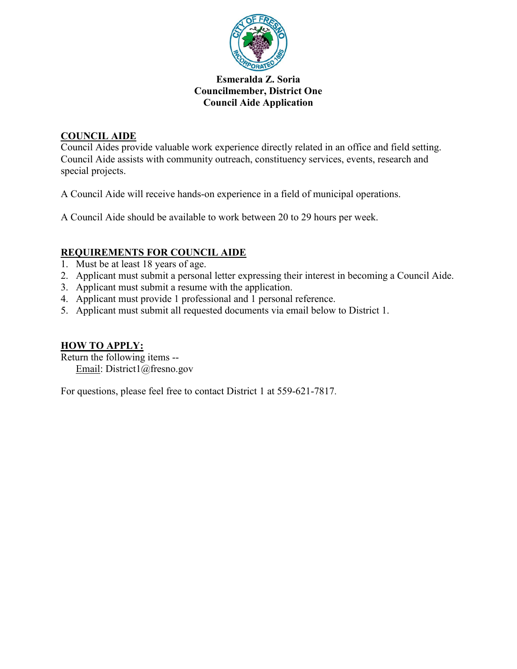

## **COUNCIL AIDE**

Council Aides provide valuable work experience directly related in an office and field setting. Council Aide assists with community outreach, constituency services, events, research and special projects.

A Council Aide will receive hands-on experience in a field of municipal operations.

A Council Aide should be available to work between 20 to 29 hours per week.

# **REQUIREMENTS FOR COUNCIL AIDE**

- 1. Must be at least 18 years of age.
- 2. Applicant must submit a personal letter expressing their interest in becoming a Council Aide.
- 3. Applicant must submit a resume with the application.
- 4. Applicant must provide 1 professional and 1 personal reference.
- 5. Applicant must submit all requested documents via email below to District 1.

## **HOW TO APPLY:**

Return the following items -- Email: District1@fresno.gov

For questions, please feel free to contact District 1 at 559-621-7817.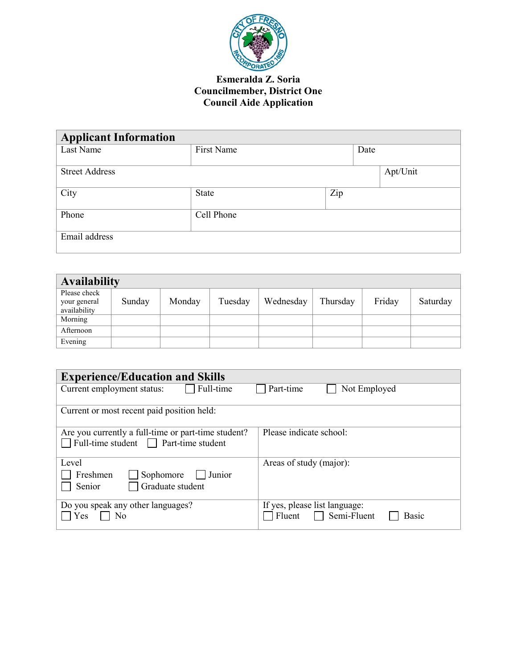

| <b>Applicant Information</b> |              |     |      |          |
|------------------------------|--------------|-----|------|----------|
| Last Name                    | First Name   |     | Date |          |
|                              |              |     |      |          |
| <b>Street Address</b>        |              |     |      | Apt/Unit |
|                              |              |     |      |          |
| City                         | <b>State</b> | Zip |      |          |
|                              |              |     |      |          |
| Phone                        | Cell Phone   |     |      |          |
|                              |              |     |      |          |
| Email address                |              |     |      |          |
|                              |              |     |      |          |

| <b>Availability</b>                          |        |        |         |           |          |        |          |
|----------------------------------------------|--------|--------|---------|-----------|----------|--------|----------|
| Please check<br>your general<br>availability | Sunday | Monday | Tuesday | Wednesday | Thursday | Friday | Saturday |
| Morning                                      |        |        |         |           |          |        |          |
| Afternoon                                    |        |        |         |           |          |        |          |
| Evening                                      |        |        |         |           |          |        |          |

| <b>Experience/Education and Skills</b>                                                            |                                                                        |
|---------------------------------------------------------------------------------------------------|------------------------------------------------------------------------|
| Current employment status:<br>Full-time                                                           | Part-time<br>Not Employed                                              |
| Current or most recent paid position held:                                                        |                                                                        |
| Are you currently a full-time or part-time student?<br>Full-time student <b>Part-time student</b> | Please indicate school:                                                |
| Level<br>Freshmen<br>Sophomore<br>Junior<br>Graduate student<br>Senior                            | Areas of study (major):                                                |
| Do you speak any other languages?<br>Yes<br>No                                                    | If yes, please list language:<br>$\Box$ Semi-Fluent<br>Fluent<br>Basic |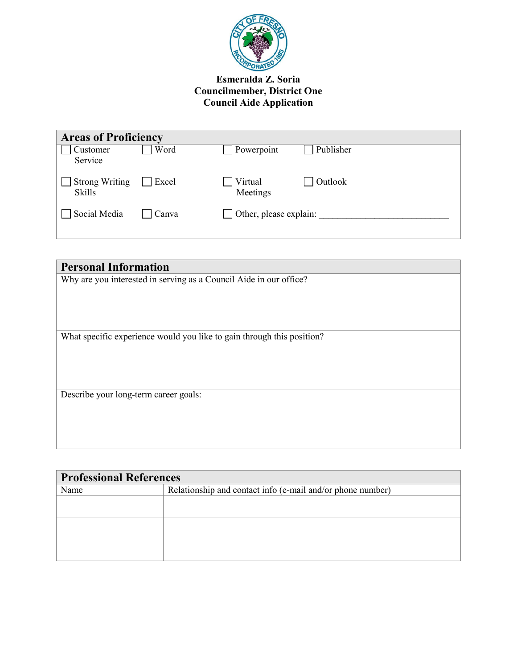

| <b>Areas of Proficiency</b>            |       |                               |                |
|----------------------------------------|-------|-------------------------------|----------------|
| Customer<br>Service                    | Word  | $\Box$ Powerpoint             | Publisher      |
| <b>Strong Writing</b><br><b>Skills</b> | Excel | Virtual<br>Meetings           | $\Box$ Outlook |
| Social Media                           | Canva | $\Box$ Other, please explain: |                |

| <b>Personal Information</b>                                            |  |  |  |  |
|------------------------------------------------------------------------|--|--|--|--|
| Why are you interested in serving as a Council Aide in our office?     |  |  |  |  |
|                                                                        |  |  |  |  |
|                                                                        |  |  |  |  |
|                                                                        |  |  |  |  |
| What specific experience would you like to gain through this position? |  |  |  |  |
|                                                                        |  |  |  |  |
|                                                                        |  |  |  |  |
|                                                                        |  |  |  |  |
| Describe your long-term career goals:                                  |  |  |  |  |
|                                                                        |  |  |  |  |
|                                                                        |  |  |  |  |
|                                                                        |  |  |  |  |
|                                                                        |  |  |  |  |

| <b>Professional References</b> |                                                            |  |  |  |
|--------------------------------|------------------------------------------------------------|--|--|--|
| Name                           | Relationship and contact info (e-mail and/or phone number) |  |  |  |
|                                |                                                            |  |  |  |
|                                |                                                            |  |  |  |
|                                |                                                            |  |  |  |
|                                |                                                            |  |  |  |
|                                |                                                            |  |  |  |
|                                |                                                            |  |  |  |